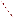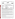## THE ENVIRONMENTAL TFALL TO ACY VERIFICATION PROGRAM







# **ETV Joint Verification Statement**

| <b>TECHNOLOGY TYPE:</b>             | <b>ENVIRONMENTAL DECISION SUPPORT SOFTWARE</b>                            |                                              |
|-------------------------------------|---------------------------------------------------------------------------|----------------------------------------------|
| <b>APPLICATION:</b>                 | <b>INTEGRATION AND VISUALIZATION OF ENVIRONMENTAL</b><br><b>DATA SETS</b> |                                              |
| <b>TECHNOLOGY NAME:</b>             | StiePro <sup>TM</sup> Version 3.0                                         |                                              |
| <b>COMPANY:</b>                     | <b>Environmental Software</b>                                             |                                              |
| <b>ADDRESS:</b>                     | 17011 Beach Blvd., Suite 900<br>Huntington Beach, CA. 92647               | PHONE: (714) 379-7000<br>FAX: (714) 379-7001 |
| <b>WEBSITE:</b><br>$E\text{-}MAIL:$ | www.envsoft.com<br>info@envsoft.com                                       |                                              |

The U.S. Environmental Protection Agency (EPA) has created the Environmental Technology Verification Program (ETV) to facilitate the deployment of innovative or improved environmental technologies through performance verification and dissemination of information. The goal of the ETV Program is to further environmental protection by substantially accelerating the acceptance and use of improved and cost-effective technologies. ETV seeks to achieve this goal by providing high-quality, peer-reviewed data on technology performance to those involved in the design, distribution, financing, permitting, purchase, and use of environmental technologies.

ETV works in partnership with recognized standards and testing organizations and stakeholder groups consisting of regulators, buyers, and vendor organizations, with the full participation of individual technology developers. The program evaluates the performance of innovative technologies by developing test plans that are responsive to the needs of stakeholders, conducting field or laboratory tests (as appropriate), collecting and analyzing data, and preparing peer-reviewed reports. All evaluations are conducted in accordance with rigorous quality assurance protocols to ensure that data of known and adequate quality are generated and that the results are defensible.

The Site Characterization and Monitoring Technologies Pilot (SCMT), one of 12 technology areas under ETV, is administered by EPA's National Exposure Research Laboratory (NERL). With the support of the U.S. Department of Energy's (DOE's) Environmental Management program, NERL selected a team from Brookhaven National Laboratory (BNL) and Oak Ridge National Laboratory (ORNL) to perform the verification of environmental decision support software. This verification statement provides a summary of the test results of a demonstration of Environmental Software's SitePro™ environmental decision support software product.

### **DEMONSTRATION DESCRIPTION**

In September 1998, the performance of five decision support software (DSS) products were evaluated at the New Mexico Engineering Research Institute, located in Albuquerque, New Mexico. In October 1998, a sixth DSS product was tested at BNL in Upton, New York. Each technology was independently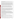evaluated by comparing its analysis results with measured field data and, in some cases, known analytical solutions to the problem.

Depending on the software, each was assessed for its ability to evaluate one or more of the following endpoints of environmental contamination problems: visualization, sample optimization, and cost-benefit analysis. The capabilities of the DSS were evaluated in the following areas: (1) the effectiveness of integrating data and models to produce information that supports the decision, and (2) the information and approach used to support the analysis. Secondary evaluation objectives were to examine DSS for its reliability, resource requirements, range of applicability, and ease of operation. The verification study focused on the developers' analysis of multiple test problems with different levels of complexity. Each developer analyzed a minimum of three test problems. These test problems, generated mostly from actual environmental data from six real remediation sites, were identified as Sites A, B, D, N, S, and T. The use of real data challenged the software systems because of the variability in natural systems.

Environmental Software staff used SitePro Version 3.0 to perform the visualization endpoint using data from Sites D, S, and T. Sites D and S have groundwater contamination, and Site T has soil contamination. The intent of the SitePro analyses was to demonstrate the software's capability to integrate large quantities of data into a visual framework for assistance in understanding a site's contamination problem. Because SitePro was not developed to address sample optimization or costbenefit problems, Environmental Software staff did not attempt to perform these aspects of the test problems.

During the demonstration SitePro was used to import data from many different sources (drawing and data files) and integrate these into the SitePro platform. Database manipulations (sort and query), GIS operations (multiple layers on maps, hot-linking of the data to the maps), data analysis (creating contours of water level and contaminant concentration, geologic boring maps, and geologic cross-section maps) and visualization (two-dimensional maps containing site features, contour levels, sample locations, and measured values) were demonstrated. Details of the demonstration, including an evaluation of the software's performance, may be found in the report entitled *Environmental Technology Verification Report: Environmental Software, SitePro™ Version 3.0,*EPA/600/R-99/093.

#### **TECHNOLOGY DESCRIPTION**

SitePro is a software application designed to help environmental professionals quickly and comprehensively characterize and manage information relevant to understanding environmental contamination problems. SitePro integrates a database, a geographic information system (GIS), computer-aided design (CAD), mapping, contouring, boring logs, cross-sections, graphing, imaging and reporting inside one application. This integration provides support for decisions pertaining to monitoring and remediation. SitePro can be used to manage various types of environmental data including data on contaminated soil and water, air emissions, wastewater, and health and safety parameters. The software allows environmental professionals to manage and share their site data using a single file. SitePro runs on Windows 95 and 98 and NT platforms.

### **VERIFICATION OF PERFORMANCE**

The following performance characteristics of SitePro Version 3.0 were observed:

*Decision Support:* SitePro was able to quickly import electronic data on contaminant concentrations, geologic structure, and surface structure from a variety of sources and integrate this information on a single platform. SitePro was able to display the information in a visual context to support data interpretation.

*Documentation of the SitePro Analysis:* Environmental Software staff used SitePro to generate reports that provided an adequate explanation of the process and parameters used to analyze each problem. Documentation of data transfer, manipulations of the data (e.g., how to treat contamination data as a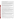function of depth in a well), and analyses were included. Model selection and parameters for contouring were also provided in the exportable documentation.

*Comparison with Baseline Analysis and Data:* SitePro was able to generate geologic boring maps and cross sections that accurately matched the data. The software was also able to generate hydraulic head measurement and contaminant concentration maps. The maps ranged from posting of data at the sample location to contours generated through inverse distance weighting (IDW) interpolation routines. In general, SitePro-generated contour maps were consistent with the measured data and baseline analysis. In a few cases, however, the SitePro predicted contours did not completely match the data. The cause for the poor agreement was the choice of contouring parameters used by the analyst.

*Multiple Lines of Reasoning:* Environmental Software chose not to use SitePro to provide multiple interpretations of the data with different modeling parameters. SitePro has several contouring algorithms, but only one contouring algorithm (IDW) was used in the demonstration. In addition, different parameters could have been used in the IDW algorithm to explore the data. Performing multiple interpolations of the data using different interpolation routines and parameters would have provided multiple views of the data that generally assist in data interpretation.

In addition to performance criteria, the following secondary criteria were evaluated:

*Ease of Use:* The demonstration showed that SitePro was extremely easy to use. The SitePro platform has a logical structure to permit use of the options in the software package. SitePro was demonstrated to import and export data in a wide range of formats. During the demonstration, one of four .dxf files provided by Environmental Software could not be read by other .dxf readers.

*Efficiency and Range of Applicability:* SitePro has a flexible database structure that supports multiple data input formats. This provided a flexible platform which addressed problems efficiently because the platform could be tailored to the problem under study. The database permits queries on a wide range of fields (e.g., chemical name, date, concentration, and well identifiers) and also permits filtering (e.g., include only the maximum concentration at a location over a range of sample dates). The software allows evaluation of a wide range of environmental conditions (e.g., contaminants in different media). Completion of three problems required one person-week of effort.

*Operator Skill Base:* To use SitePro efficiently, the operator should have a basic understanding of the use of computer software in analyzing environmental problems. This includes fundamental knowledge about GIS, CAD, and database files. In addition, skills in contouring environmental data is also key to achieving satisfactory results.

*Training and Technical Support:* SitePro requires minimal training for efficient use. An analyst with the prerequisite skill base can be using the software within a day. SitePro offers a wide range of options for training and technical support. A detailed on-line help system is supplied with the software package. In addition, a user's manual is available to assist in operation of the software. A step-by-step tutorial provided with the software package covers the major features. Two one-day training courses (introduction and advanced) are available if desired. Technical support is available for a yearly maintenance fee.

*Cost:* At the time of the demonstration, SitePro was priced at \$2295 for a single license. Educational and multiple license discounts are available. In addition, new clients are required to subscribe to one year of technical support at \$275 per year.

*Overall Evaluation:* The main strength of SitePro was its ability to easily integrate and manage information to allow analysis and spatial visualization of the data. SitePro was capable of managing data files from a wide range of sources, querying the data files to examine specific issues, and generating